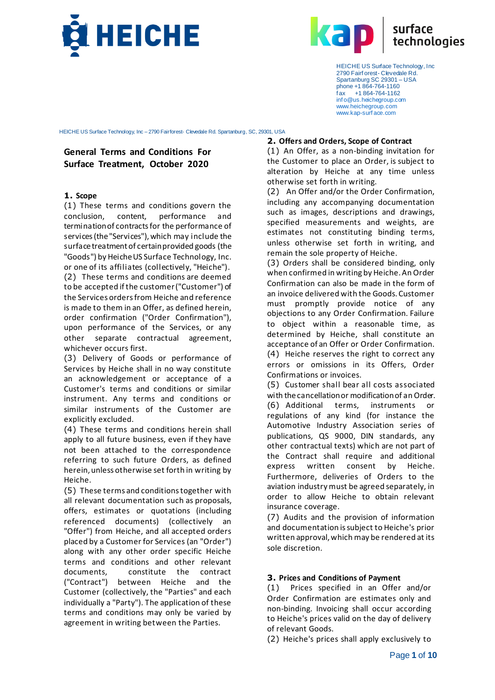



HEICHE US Surface Technology, Inc – 2790 Fairforest- Clevedale Rd. Spartanburg, SC, 29301, USA

# **General Terms and Conditions For Surface Treatment, October 2020**

#### **1. Scope**

(1) These terms and conditions govern the conclusion, content, performance and termination of contracts for the performance of services (the "Services"), which may include the surface treatment of certain provided goods (the "Goods") by Heiche US Surface Technology, Inc. or one of its affiliates (collectively, "Heiche"). (2) These terms and conditions are deemed to be accepted if the customer ("Customer") of the Services orders from Heiche and reference is made to them in an Offer, as defined herein, order confirmation ("Order Confirmation"), upon performance of the Services, or any other separate contractual agreement, whichever occurs first.

(3) Delivery of Goods or performance of Services by Heiche shall in no way constitute an acknowledgement or acceptance of a Customer's terms and conditions or similar instrument. Any terms and conditions or similar instruments of the Customer are explicitly excluded.

(4) These terms and conditions herein shall apply to all future business, even if they have not been attached to the correspondence referring to such future Orders, as defined herein, unless otherwise set forth in writing by Heiche.

(5) These terms and conditions together with all relevant documentation such as proposals, offers, estimates or quotations (including referenced documents) (collectively an "Offer") from Heiche, and all accepted orders placed by a Customer for Services (an "Order") along with any other order specific Heiche terms and conditions and other relevant documents, constitute the contract ("Contract") between Heiche and the Customer (collectively, the "Parties" and each individually a "Party"). The application of these terms and conditions may only be varied by agreement in writing between the Parties.

#### **2. Offers and Orders, Scope of Contract**

(1) An Offer, as a non-binding invitation for the Customer to place an Order, is subject to alteration by Heiche at any time unless otherwise set forth in writing.

(2) An Offer and/or the Order Confirmation, including any accompanying documentation such as images, descriptions and drawings, specified measurements and weights, are estimates not constituting binding terms, unless otherwise set forth in writing, and remain the sole property of Heiche.

(3) Orders shall be considered binding, only when confirmed in writing by Heiche. An Order Confirmation can also be made in the form of an invoice delivered with the Goods. Customer must promptly provide notice of any objections to any Order Confirmation. Failure to object within a reasonable time, as determined by Heiche, shall constitute an acceptance of an Offer or Order Confirmation. (4) Heiche reserves the right to correct any errors or omissions in its Offers, Order Confirmations or invoices.

(5) Customer shall bear all costs associated with the cancellation or modification of an Order. (6) Additional terms, instruments or regulations of any kind (for instance the Automotive Industry Association series of publications, QS 9000, DIN standards, any other contractual texts) which are not part of the Contract shall require and additional express written consent by Heiche. Furthermore, deliveries of Orders to the aviation industry must be agreed separately, in order to allow Heiche to obtain relevant insurance coverage.

(7) Audits and the provision of information and documentation is subject to Heiche's prior written approval, which may be rendered at its sole discretion.

### **3. Prices and Conditions of Payment**

(1) Prices specified in an Offer and/or Order Confirmation are estimates only and non-binding. Invoicing shall occur according to Heiche's prices valid on the day of delivery of relevant Goods.

(2) Heiche's prices shall apply exclusively to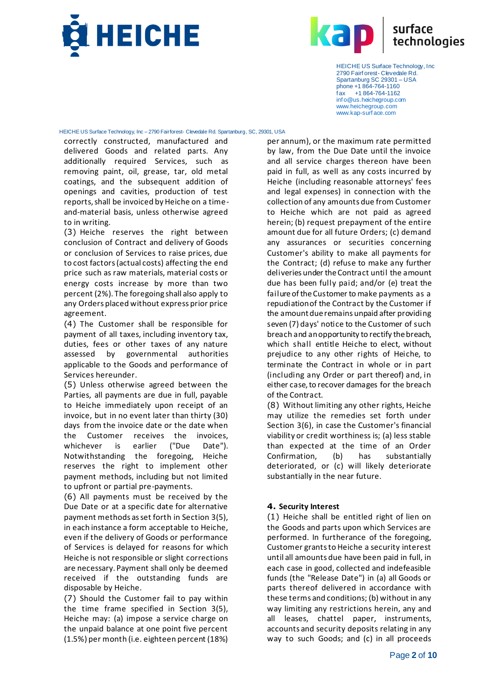



HEICHE US Surface Technology, Inc – 2790 Fairforest- Clevedale Rd. Spartanburg, SC, 29301, USA

correctly constructed, manufactured and delivered Goods and related parts. Any additionally required Services, such as removing paint, oil, grease, tar, old metal coatings, and the subsequent addition of openings and cavities, production of test reports, shall be invoiced by Heiche on a timeand-material basis, unless otherwise agreed to in writing.

(3) Heiche reserves the right between conclusion of Contract and delivery of Goods or conclusion of Services to raise prices, due to cost factors (actual costs) affecting the end price such as raw materials, material costs or energy costs increase by more than two percent (2%). The foregoing shall also apply to any Orders placed without express prior price agreement.

(4) The Customer shall be responsible for payment of all taxes, including inventory tax, duties, fees or other taxes of any nature assessed by governmental authorities applicable to the Goods and performance of Services hereunder.

(5) Unless otherwise agreed between the Parties, all payments are due in full, payable to Heiche immediately upon receipt of an invoice, but in no event later than thirty (30) days from the invoice date or the date when the Customer receives the invoices, whichever is earlier ("Due Date"). Notwithstanding the foregoing, Heiche reserves the right to implement other payment methods, including but not limited to upfront or partial pre-payments.

(6) All payments must be received by the Due Date or at a specific date for alternative payment methods as set forth in Section 3(5), in each instance a form acceptable to Heiche, even if the delivery of Goods or performance of Services is delayed for reasons for which Heiche is not responsible or slight corrections are necessary. Payment shall only be deemed received if the outstanding funds are disposable by Heiche.

(7) Should the Customer fail to pay within the time frame specified in Section 3(5), Heiche may: (a) impose a service charge on the unpaid balance at one point five percent (1.5%) per month (i.e. eighteen percent (18%)

per annum), or the maximum rate permitted by law, from the Due Date until the invoice and all service charges thereon have been paid in full, as well as any costs incurred by Heiche (including reasonable attorneys' fees and legal expenses) in connection with the collection of any amounts due from Customer to Heiche which are not paid as agreed herein; (b) request prepayment of the entire amount due for all future Orders; (c) demand any assurances or securities concerning Customer's ability to make all payments for the Contract; (d) refuse to make any further deliveries under the Contract until the amount due has been fully paid; and/or (e) treat the failure of the Customer to make payments as a repudiation of the Contract by the Customer if the amount due remains unpaid after providing seven (7) days' notice to the Customer of such breach and an opportunity to rectify the breach, which shall entitle Heiche to elect, without prejudice to any other rights of Heiche, to terminate the Contract in whole or in part (including any Order or part thereof) and, in either case, to recover damages for the breach of the Contract.

(8) Without limiting any other rights, Heiche may utilize the remedies set forth under Section 3(6), in case the Customer's financial viability or credit worthiness is; (a) less stable than expected at the time of an Order Confirmation, (b) has substantially deteriorated, or (c) will likely deteriorate substantially in the near future.

### **4. Security Interest**

(1) Heiche shall be entitled right of lien on the Goods and parts upon which Services are performed. In furtherance of the foregoing, Customer grants to Heiche a security interest until all amounts due have been paid in full, in each case in good, collected and indefeasible funds (the "Release Date") in (a) all Goods or parts thereof delivered in accordance with these terms and conditions; (b) without in any way limiting any restrictions herein, any and all leases, chattel paper, instruments, accounts and security deposits relating in any way to such Goods; and (c) in all proceeds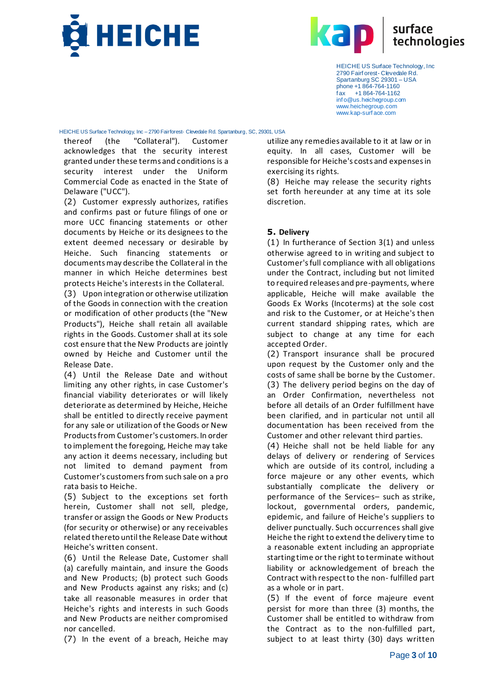



HEICHE US Surface Technology, Inc – 2790 Fairforest- Clevedale Rd. Spartanburg, SC, 29301, USA

thereof (the "Collateral"). Customer acknowledges that the security interest granted under these terms and conditions is a security interest under the Uniform Commercial Code as enacted in the State of Delaware ("UCC").

(2) Customer expressly authorizes, ratifies and confirms past or future filings of one or more UCC financing statements or other documents by Heiche or its designees to the extent deemed necessary or desirable by Heiche. Such financing statements or documents may describe the Collateral in the manner in which Heiche determines best protects Heiche's interests in the Collateral.

(3) Upon integration or otherwise utilization of the Goods in connection with the creation or modification of other products (the "New Products"), Heiche shall retain all available rights in the Goods. Customer shall at its sole cost ensure that the New Products are jointly owned by Heiche and Customer until the Release Date.

(4) Until the Release Date and without limiting any other rights, in case Customer's financial viability deteriorates or will likely deteriorate as determined by Heiche, Heiche shall be entitled to directly receive payment for any sale or utilization of the Goods or New Products from Customer's customers. In order to implement the foregoing, Heiche may take any action it deems necessary, including but not limited to demand payment from Customer's customers from such sale on a pro rata basis to Heiche.

(5) Subject to the exceptions set forth herein, Customer shall not sell, pledge, transfer or assign the Goods or New Products (for security or otherwise) or any receivables related thereto until the Release Date without Heiche's written consent.

(6) Until the Release Date, Customer shall (a) carefully maintain, and insure the Goods and New Products; (b) protect such Goods and New Products against any risks; and (c) take all reasonable measures in order that Heiche's rights and interests in such Goods and New Products are neither compromised nor cancelled.

(7) In the event of a breach, Heiche may

utilize any remedies available to it at law or in equity. In all cases, Customer will be responsible for Heiche's costs and expenses in exercising its rights.

(8) Heiche may release the security rights set forth hereunder at any time at its sole discretion.

## **5. Delivery**

(1) In furtherance of Section 3(1) and unless otherwise agreed to in writing and subject to Customer's full compliance with all obligations under the Contract, including but not limited to required releases and pre-payments, where applicable, Heiche will make available the Goods Ex Works (Incoterms) at the sole cost and risk to the Customer, or at Heiche's then current standard shipping rates, which are subject to change at any time for each accepted Order.

(2) Transport insurance shall be procured upon request by the Customer only and the costs of same shall be borne by the Customer. (3) The delivery period begins on the day of an Order Confirmation, nevertheless not before all details of an Order fulfillment have been clarified, and in particular not until all documentation has been received from the Customer and other relevant third parties.

(4) Heiche shall not be held liable for any delays of delivery or rendering of Services which are outside of its control, including a force majeure or any other events, which substantially complicate the delivery or performance of the Services– such as strike, lockout, governmental orders, pandemic, epidemic, and failure of Heiche's suppliers to deliver punctually. Such occurrences shall give Heiche the right to extend the delivery time to a reasonable extent including an appropriate starting time or the right to terminate without liability or acknowledgement of breach the Contract with respect to the non- fulfilled part as a whole or in part.

(5) If the event of force majeure event persist for more than three (3) months, the Customer shall be entitled to withdraw from the Contract as to the non-fulfilled part, subject to at least thirty (30) days written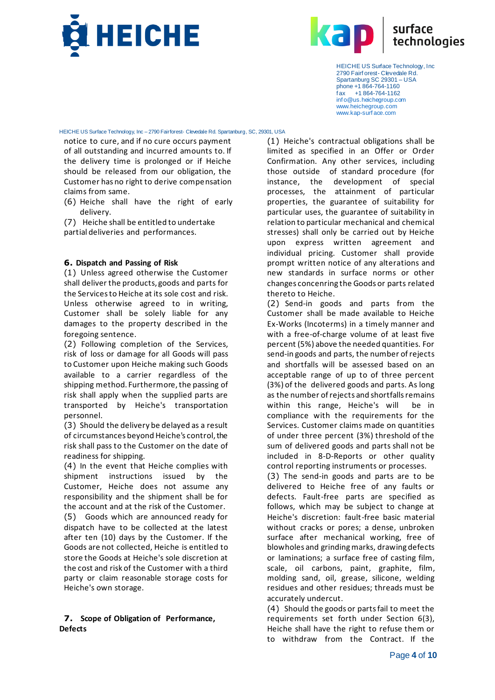



HEICHE US Surface Technology, Inc – 2790 Fairforest- Clevedale Rd. Spartanburg, SC, 29301, USA

notice to cure, and if no cure occurs payment of all outstanding and incurred amounts to. If the delivery time is prolonged or if Heiche should be released from our obligation, the Customer has no right to derive compensation claims from same.

- (6) Heiche shall have the right of early delivery.
- (7) Heiche shall be entitled to undertake partial deliveries and performances.

#### **6. Dispatch and Passing of Risk**

(1) Unless agreed otherwise the Customer shall deliver the products, goods and parts for the Services to Heiche at its sole cost and risk. Unless otherwise agreed to in writing, Customer shall be solely liable for any damages to the property described in the foregoing sentence.

(2) Following completion of the Services, risk of loss or damage for all Goods will pass to Customer upon Heiche making such Goods available to a carrier regardless of the shipping method. Furthermore, the passing of risk shall apply when the supplied parts are transported by Heiche's transportation personnel.

(3) Should the delivery be delayed as a result of circumstances beyond Heiche's control, the risk shall pass to the Customer on the date of readiness for shipping.

(4) In the event that Heiche complies with shipment instructions issued by the Customer, Heiche does not assume any responsibility and the shipment shall be for the account and at the risk of the Customer.

(5) Goods which are announced ready for dispatch have to be collected at the latest after ten (10) days by the Customer. If the Goods are not collected, Heiche is entitled to store the Goods at Heiche's sole discretion at the cost and risk of the Customer with a third party or claim reasonable storage costs for Heiche's own storage.

#### **7. Scope of Obligation of Performance, Defects**

(1) Heiche's contractual obligations shall be limited as specified in an Offer or Order Confirmation. Any other services, including those outside of standard procedure (for instance, the development of special processes, the attainment of particular properties, the guarantee of suitability for particular uses, the guarantee of suitability in relation to particular mechanical and chemical stresses) shall only be carried out by Heiche upon express written agreement and individual pricing. Customer shall provide prompt written notice of any alterations and new standards in surface norms or other changes concenring the Goods or parts related thereto to Heiche.

(2) Send-in goods and parts from the Customer shall be made available to Heiche Ex-Works (Incoterms) in a timely manner and with a free-of-charge volume of at least five percent (5%) above the needed quantities. For send-in goods and parts, the number of rejects and shortfalls will be assessed based on an acceptable range of up to of three percent (3%) of the delivered goods and parts. As long as the number of rejects and shortfalls remains within this range, Heiche's will be in compliance with the requirements for the Services. Customer claims made on quantities of under three percent (3%) threshold of the sum of delivered goods and parts shall not be included in 8-D-Reports or other quality control reporting instruments or processes.

(3) The send-in goods and parts are to be delivered to Heiche free of any faults or defects. Fault-free parts are specified as follows, which may be subject to change at Heiche's discretion: fault-free basic material without cracks or pores; a dense, unbroken surface after mechanical working, free of blowholes and grinding marks, drawing defects or laminations; a surface free of casting film, scale, oil carbons, paint, graphite, film, molding sand, oil, grease, silicone, welding residues and other residues; threads must be accurately undercut.

(4) Should the goods or parts fail to meet the requirements set forth under Section 6(3), Heiche shall have the right to refuse them or to withdraw from the Contract. If the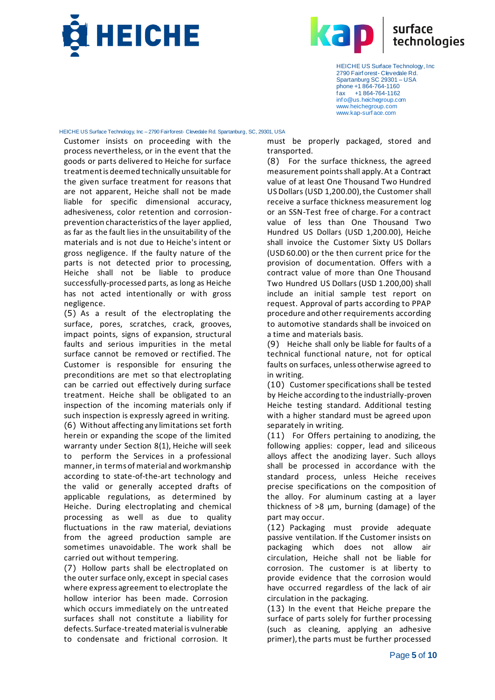



#### HEICHE US Surface Technology, Inc – 2790 Fairforest- Clevedale Rd. Spartanburg, SC, 29301, USA

Customer insists on proceeding with the process nevertheless, or in the event that the goods or parts delivered to Heiche for surface treatment is deemed technically unsuitable for the given surface treatment for reasons that are not apparent, Heiche shall not be made liable for specific dimensional accuracy, adhesiveness, color retention and corrosionprevention characteristics of the layer applied, as far as the fault lies in the unsuitability of the materials and is not due to Heiche's intent or gross negligence. If the faulty nature of the parts is not detected prior to processing, Heiche shall not be liable to produce successfully-processed parts, as long as Heiche has not acted intentionally or with gross negligence.

(5) As a result of the electroplating the surface, pores, scratches, crack, grooves, impact points, signs of expansion, structural faults and serious impurities in the metal surface cannot be removed or rectified. The Customer is responsible for ensuring the preconditions are met so that electroplating can be carried out effectively during surface treatment. Heiche shall be obligated to an inspection of the incoming materials only if such inspection is expressly agreed in writing. (6) Without affecting any limitations set forth herein or expanding the scope of the limited warranty under Section 8(1), Heiche will seek to perform the Services in a professional manner, in terms of material and workmanship according to state-of-the-art technology and the valid or generally accepted drafts of applicable regulations, as determined by Heiche. During electroplating and chemical processing as well as due to quality fluctuations in the raw material, deviations from the agreed production sample are sometimes unavoidable. The work shall be carried out without tempering.

(7) Hollow parts shall be electroplated on the outer surface only, except in special cases where express agreement to electroplate the hollow interior has been made. Corrosion which occurs immediately on the untreated surfaces shall not constitute a liability for defects. Surface-treated material is vulnerable to condensate and frictional corrosion. It

must be properly packaged, stored and transported.

(8) For the surface thickness, the agreed measurement points shall apply. At a Contract value of at least One Thousand Two Hundred US Dollars (USD 1,200.00), the Customer shall receive a surface thickness measurement log or an SSN-Test free of charge. For a contract value of less than One Thousand Two Hundred US Dollars (USD 1,200.00), Heiche shall invoice the Customer Sixty US Dollars (USD 60.00) or the then current price for the provision of documentation. Offers with a contract value of more than One Thousand Two Hundred US Dollars (USD 1.200,00) shall include an initial sample test report on request. Approval of parts according to PPAP procedure and other requirements according to automotive standards shall be invoiced on a time and materials basis.

(9) Heiche shall only be liable for faults of a technical functional nature, not for optical faults on surfaces, unless otherwise agreed to in writing.

(10) Customer specifications shall be tested by Heiche according to the industrially-proven Heiche testing standard. Additional testing with a higher standard must be agreed upon separately in writing.

(11) For Offers pertaining to anodizing, the following applies: copper, lead and siliceous alloys affect the anodizing layer. Such alloys shall be processed in accordance with the standard process, unless Heiche receives precise specifications on the composition of the alloy. For aluminum casting at a layer thickness of >8 µm, burning (damage) of the part may occur.

(12) Packaging must provide adequate passive ventilation. If the Customer insists on packaging which does not allow air circulation, Heiche shall not be liable for corrosion. The customer is at liberty to provide evidence that the corrosion would have occurred regardless of the lack of air circulation in the packaging.

(13) In the event that Heiche prepare the surface of parts solely for further processing (such as cleaning, applying an adhesive primer), the parts must be further processed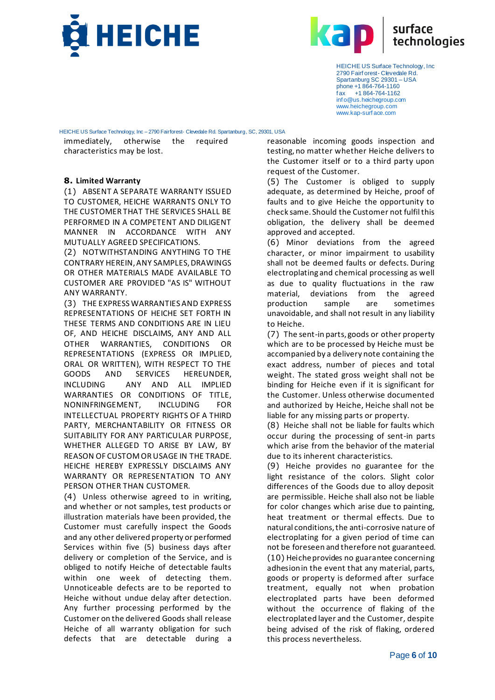



HEICHE US Surface Technology, Inc – 2790 Fairforest- Clevedale Rd. Spartanburg, SC, 29301, USA

immediately, otherwise the required characteristics may be lost.

### **8. Limited Warranty**

(1) ABSENT A SEPARATE WARRANTY ISSUED TO CUSTOMER, HEICHE WARRANTS ONLY TO THE CUSTOMER THAT THE SERVICES SHALL BE PERFORMED IN A COMPETENT AND DILIGENT MANNER IN ACCORDANCE WITH ANY MUTUALLY AGREED SPECIFICATIONS.

(2) NOTWITHSTANDING ANYTHING TO THE CONTRARY HEREIN, ANY SAMPLES, DRAWINGS OR OTHER MATERIALS MADE AVAILABLE TO CUSTOMER ARE PROVIDED "AS IS" WITHOUT ANY WARRANTY.

(3) THE EXPRESS WARRANTIES AND EXPRESS REPRESENTATIONS OF HEICHE SET FORTH IN THESE TERMS AND CONDITIONS ARE IN LIEU OF, AND HEICHE DISCLAIMS, ANY AND ALL OTHER WARRANTIES, CONDITIONS OR REPRESENTATIONS (EXPRESS OR IMPLIED, ORAL OR WRITTEN), WITH RESPECT TO THE GOODS AND SERVICES HEREUNDER, INCLUDING ANY AND ALL IMPLIED WARRANTIES OR CONDITIONS OF TITLE, NONINFRINGEMENT, INCLUDING FOR INTELLECTUAL PROPERTY RIGHTS OF A THIRD PARTY, MERCHANTABILITY OR FITNESS OR SUITABILITY FOR ANY PARTICULAR PURPOSE, WHETHER ALLEGED TO ARISE BY LAW, BY REASON OF CUSTOM OR USAGE IN THE TRADE. HEICHE HEREBY EXPRESSLY DISCLAIMS ANY WARRANTY OR REPRESENTATION TO ANY PERSON OTHER THAN CUSTOMER.

(4) Unless otherwise agreed to in writing, and whether or not samples, test products or illustration materials have been provided, the Customer must carefully inspect the Goods and any other delivered property or performed Services within five (5) business days after delivery or completion of the Service, and is obliged to notify Heiche of detectable faults within one week of detecting them. Unnoticeable defects are to be reported to Heiche without undue delay after detection. Any further processing performed by the Customer on the delivered Goods shall release Heiche of all warranty obligation for such defects that are detectable during a

reasonable incoming goods inspection and testing, no matter whether Heiche delivers to the Customer itself or to a third party upon request of the Customer.

(5) The Customer is obliged to supply adequate, as determined by Heiche, proof of faults and to give Heiche the opportunity to check same. Should the Customer not fulfil this obligation, the delivery shall be deemed approved and accepted.

(6) Minor deviations from the agreed character, or minor impairment to usability shall not be deemed faults or defects. During electroplating and chemical processing as well as due to quality fluctuations in the raw material, deviations from the agreed production sample are sometimes unavoidable, and shall not result in any liability to Heiche.

(7) The sent-in parts, goods or other property which are to be processed by Heiche must be accompanied by a delivery note containing the exact address, number of pieces and total weight. The stated gross weight shall not be binding for Heiche even if it is significant for the Customer. Unless otherwise documented and authorized by Heiche, Heiche shall not be liable for any missing parts or property.

(8) Heiche shall not be liable for faults which occur during the processing of sent-in parts which arise from the behavior of the material due to its inherent characteristics.

(9) Heiche provides no guarantee for the light resistance of the colors. Slight color differences of the Goods due to alloy deposit are permissible. Heiche shall also not be liable for color changes which arise due to painting, heat treatment or thermal effects. Due to natural conditions, the anti-corrosive nature of electroplating for a given period of time can not be foreseen and therefore not guaranteed. (10) Heiche provides no guarantee concerning adhesionin the event that any material, parts, goods or property is deformed after surface treatment, equally not when probation electroplated parts have been deformed without the occurrence of flaking of the electroplated layer and the Customer, despite being advised of the risk of flaking, ordered this process nevertheless.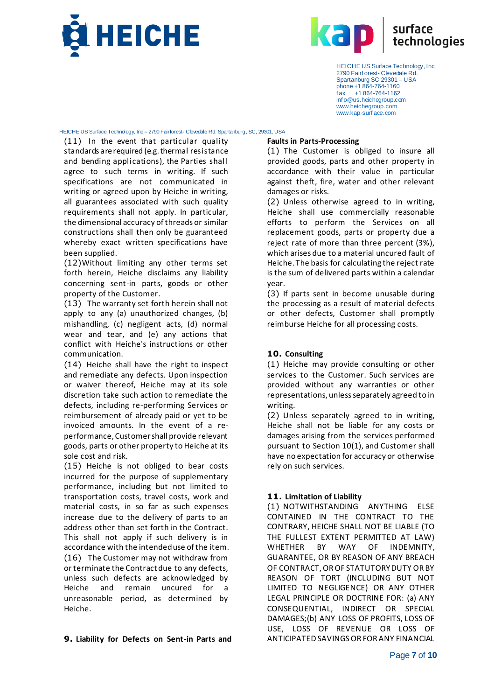



HEICHE US Surface Technology, Inc – 2790 Fairforest- Clevedale Rd. Spartanburg, SC, 29301, USA

(11) In the event that particular quality standards are required (e.g. thermal resistance and bending applications), the Parties shall agree to such terms in writing. If such specifications are not communicated in writing or agreed upon by Heiche in writing, all guarantees associated with such quality requirements shall not apply. In particular, the dimensional accuracy of threads or similar constructions shall then only be guaranteed whereby exact written specifications have been supplied.

(12)Without limiting any other terms set forth herein, Heiche disclaims any liability concerning sent-in parts, goods or other property of the Customer.

(13) The warranty set forth herein shall not apply to any (a) unauthorized changes, (b) mishandling, (c) negligent acts, (d) normal wear and tear, and (e) any actions that conflict with Heiche's instructions or other communication.

(14) Heiche shall have the right to inspect and remediate any defects. Upon inspection or waiver thereof, Heiche may at its sole discretion take such action to remediate the defects, including re-performing Services or reimbursement of already paid or yet to be invoiced amounts. In the event of a reperformance, Customer shall provide relevant goods, parts or other property to Heiche at its sole cost and risk.

(15) Heiche is not obliged to bear costs incurred for the purpose of supplementary performance, including but not limited to transportation costs, travel costs, work and material costs, in so far as such expenses increase due to the delivery of parts to an address other than set forth in the Contract. This shall not apply if such delivery is in accordance with the intended use of the item. (16) The Customer may not withdraw from or terminate the Contract due to any defects, unless such defects are acknowledged by Heiche and remain uncured for a unreasonable period, as determined by Heiche.

### **Faults in Parts-Processing**

(1) The Customer is obliged to insure all provided goods, parts and other property in accordance with their value in particular against theft, fire, water and other relevant damages or risks.

(2) Unless otherwise agreed to in writing, Heiche shall use commercially reasonable efforts to perform the Services on all replacement goods, parts or property due a reject rate of more than three percent (3%), which arises due to a material uncured fault of Heiche. The basis for calculating the reject rate is the sum of delivered parts within a calendar year.

(3) If parts sent in become unusable during the processing as a result of material defects or other defects, Customer shall promptly reimburse Heiche for all processing costs.

### **10. Consulting**

(1) Heiche may provide consulting or other services to the Customer. Such services are provided without any warranties or other representations, unless separately agreed to in writing.

(2) Unless separately agreed to in writing, Heiche shall not be liable for any costs or damages arising from the services performed pursuant to Section 10(1), and Customer shall have no expectation for accuracy or otherwise rely on such services.

# **11. Limitation of Liability**

(1) NOTWITHSTANDING ANYTHING ELSE CONTAINED IN THE CONTRACT TO THE CONTRARY, HEICHE SHALL NOT BE LIABLE (TO THE FULLEST EXTENT PERMITTED AT LAW) WHETHER BY WAY OF INDEMNITY, GUARANTEE, OR BY REASON OF ANY BREACH OF CONTRACT, OR OF STATUTORY DUTY OR BY REASON OF TORT (INCLUDING BUT NOT LIMITED TO NEGLIGENCE) OR ANY OTHER LEGAL PRINCIPLE OR DOCTRINE FOR: (a) ANY CONSEQUENTIAL, INDIRECT OR SPECIAL DAMAGES;(b) ANY LOSS OF PROFITS, LOSS OF USE, LOSS OF REVENUE OR LOSS OF ANTICIPATED SAVINGS OR FOR ANY FINANCIAL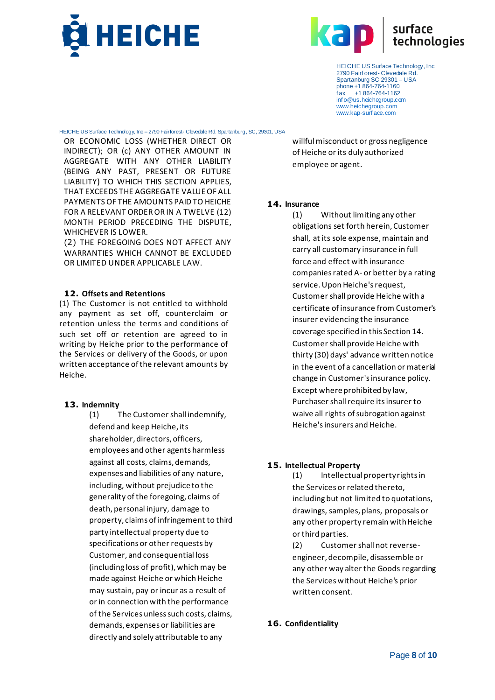



HEICHE US Surface Technology, Inc – 2790 Fairforest- Clevedale Rd. Spartanburg, SC, 29301, USA

OR ECONOMIC LOSS (WHETHER DIRECT OR INDIRECT); OR (c) ANY OTHER AMOUNT IN AGGREGATE WITH ANY OTHER LIABILITY (BEING ANY PAST, PRESENT OR FUTURE LIABILITY) TO WHICH THIS SECTION APPLIES, THAT EXCEEDS THE AGGREGATE VALUE OF ALL PAYMENTS OF THE AMOUNTS PAID TO HEICHE FOR A RELEVANT ORDER OR IN A TWELVE (12) MONTH PERIOD PRECEDING THE DISPUTE, WHICHEVER IS LOWER.

(2) THE FOREGOING DOES NOT AFFECT ANY WARRANTIES WHICH CANNOT BE EXCLUDED OR LIMITED UNDER APPLICABLE LAW.

#### **12. Offsets and Retentions**

(1) The Customer is not entitled to withhold any payment as set off, counterclaim or retention unless the terms and conditions of such set off or retention are agreed to in writing by Heiche prior to the performance of the Services or delivery of the Goods, or upon written acceptance of the relevant amounts by Heiche.

#### **13. Indemnity**

(1) The Customer shall indemnify, defend and keep Heiche, its shareholder, directors, officers, employees and other agents harmless against all costs, claims, demands, expenses and liabilities of any nature, including, without prejudice to the generality of the foregoing, claims of death, personal injury, damage to property, claims of infringement to third party intellectual property due to specifications or other requests by Customer, and consequential loss (including loss of profit), which may be made against Heiche or which Heiche may sustain, pay or incur as a result of or in connection with the performance of the Services unless such costs, claims, demands, expenses or liabilities are directly and solely attributable to any

willful misconduct or gross negligence of Heiche or its duly authorized employee or agent.

### **14. Insurance**

(1) Without limiting any other obligations set forth herein, Customer shall, at its sole expense, maintain and carry all customary insurance in full force and effect with insurance companies rated A- or better by a rating service. Upon Heiche's request, Customer shall provide Heiche with a certificate of insurance from Customer's insurer evidencing the insurance coverage specified in this Section 14. Customer shall provide Heiche with thirty (30) days' advance written notice in the event of a cancellation or material change in Customer's insurance policy. Except where prohibited by law, Purchaser shall require its insurer to waive all rights of subrogation against Heiche's insurers and Heiche.

### **15. Intellectual Property**

(1) Intellectual property rights in the Services or related thereto, including but not limited to quotations, drawings, samples, plans, proposals or any other property remain with Heiche or third parties.

(2) Customer shall not reverseengineer, decompile, disassemble or any other way alter the Goods regarding the Services without Heiche's prior written consent.

### **16. Confidentiality**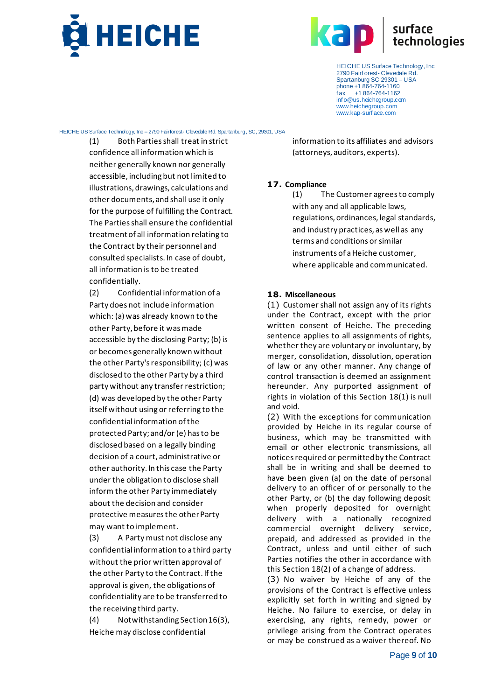



HEICHE US Surface Technology, Inc – 2790 Fairforest- Clevedale Rd. Spartanburg, SC, 29301, USA

(1) Both Parties shall treat in strict confidence all information which is neither generally known nor generally accessible, including but not limited to illustrations, drawings, calculations and other documents, and shall use it only for the purpose of fulfilling the Contract. The Parties shall ensure the confidential treatment of all information relating to the Contract by their personnel and consulted specialists. In case of doubt, all information is to be treated confidentially.

(2) Confidential information of a Party does not include information which: (a) was already known to the other Party, before it was made accessible by the disclosing Party; (b) is or becomes generally known without the other Party's responsibility; (c) was disclosed to the other Party by a third party without any transfer restriction; (d) was developed by the other Party itself without using or referring to the confidential information of the protected Party; and/or (e) has to be disclosed based on a legally binding decision of a court, administrative or other authority. In this case the Party under the obligation to disclose shall inform the other Party immediately about the decision and consider protective measures the other Party may want to implement.

(3) A Party must not disclose any confidential information to a third party without the prior written approval of the other Party to the Contract. If the approval is given, the obligations of confidentiality are to be transferred to the receiving third party.

(4) Notwithstanding Section 16(3), Heiche may disclose confidential

information to its affiliates and advisors (attorneys, auditors, experts).

## **17. Compliance**

(1) The Customer agrees to comply with any and all applicable laws. regulations, ordinances, legal standards, and industry practices, as well as any terms and conditions or similar instruments of a Heiche customer, where applicable and communicated.

## **18. Miscellaneous**

(1) Customer shall not assign any of its rights under the Contract, except with the prior written consent of Heiche. The preceding sentence applies to all assignments of rights, whether they are voluntary or involuntary, by merger, consolidation, dissolution, operation of law or any other manner. Any change of control transaction is deemed an assignment hereunder. Any purported assignment of rights in violation of this Section 18(1) is null and void.

(2) With the exceptions for communication provided by Heiche in its regular course of business, which may be transmitted with email or other electronic transmissions, all notices required or permitted by the Contract shall be in writing and shall be deemed to have been given (a) on the date of personal delivery to an officer of or personally to the other Party, or (b) the day following deposit when properly deposited for overnight delivery with a nationally recognized commercial overnight delivery service, prepaid, and addressed as provided in the Contract, unless and until either of such Parties notifies the other in accordance with this Section 18(2) of a change of address.

(3) No waiver by Heiche of any of the provisions of the Contract is effective unless explicitly set forth in writing and signed by Heiche. No failure to exercise, or delay in exercising, any rights, remedy, power or privilege arising from the Contract operates or may be construed as a waiver thereof. No